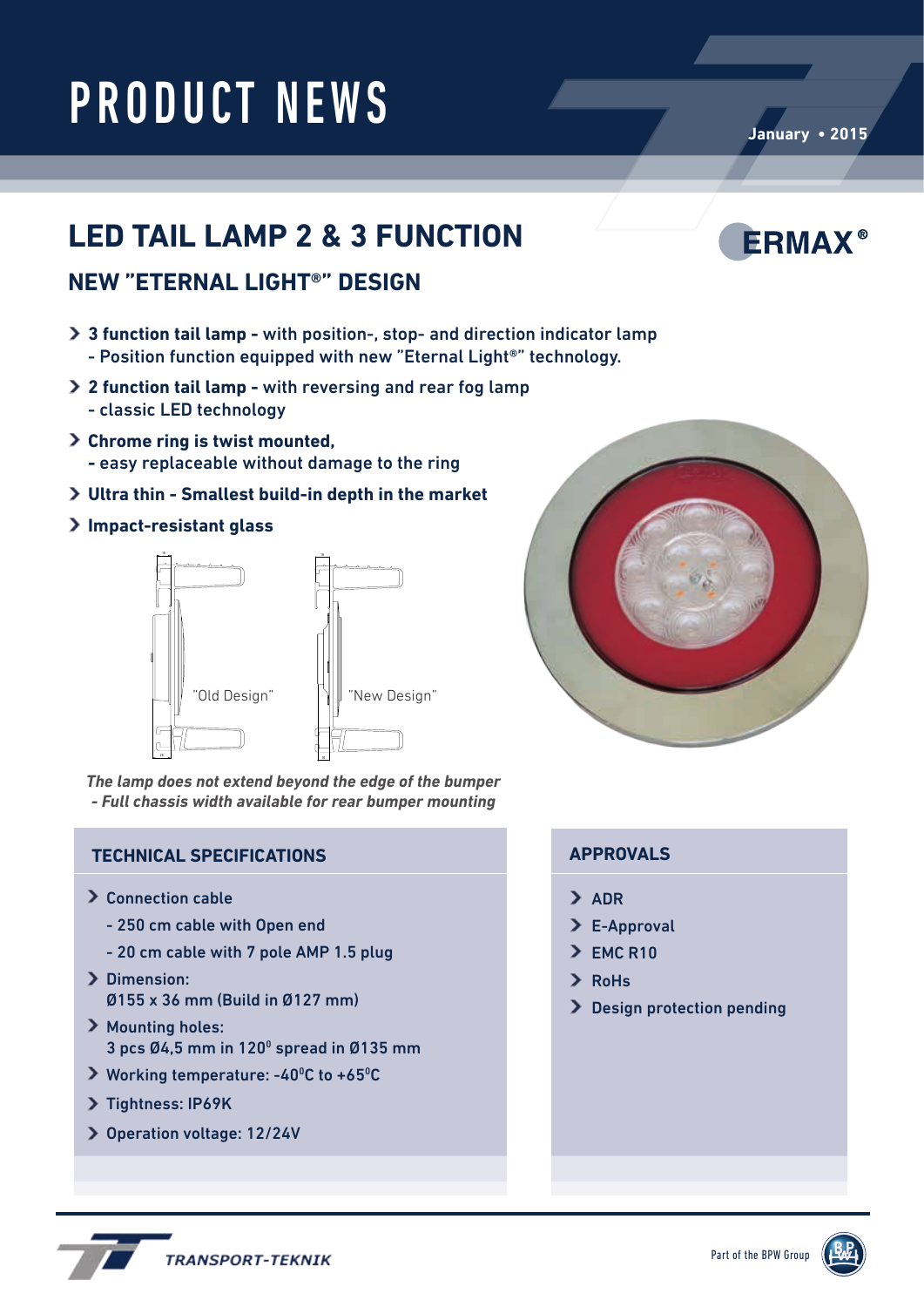TITLE: - Full chassis width available for rear bumper mounting *The lamp does not extend beyond the edge of the bumper*

### **TECHNICAL SPECIFICATIONS APPROVALS**

- > Connection cable
	- 250 cm cable with Open end
	- 20 cm cable with 7 pole AMP 1.5 plug
- > Dimension: Ø155 x 36 mm (Build in Ø127 mm)
- > Mounting holes: 3 pcs  $Ø4,5$  mm in  $120^{\circ}$  spread in  $Ø135$  mm

**TRANSPORT-TEKNIK** 

- Working temperature: -40<sup>o</sup>C to +65<sup>o</sup>C
- > Tightness: IP69K
- Operation voltage: 12/24V

- > ADR
- > E-Approval
- $\geq$  EMC R10
- RoHs
- > Design protection pending



## **NEW "ETERNAL LIGHT®" DESIGN**

PRODUCT NEWS

- **3 function tail lamp -** with position-, stop- and direction indicator lamp - Position function equipped with new "Eternal Light®" technology.
- **2 function tail lamp** with reversing and rear fog lamp - classic LED technology
- **Chrome ring is twist mounted, -** easy replaceable without damage to the ring
- **Ultra thin Smallest build-in depth in the market**

### **Impact-resistant glass**



## **LED TAIL LAMP 2 & 3 FUNCTION**



**ERMAX®**